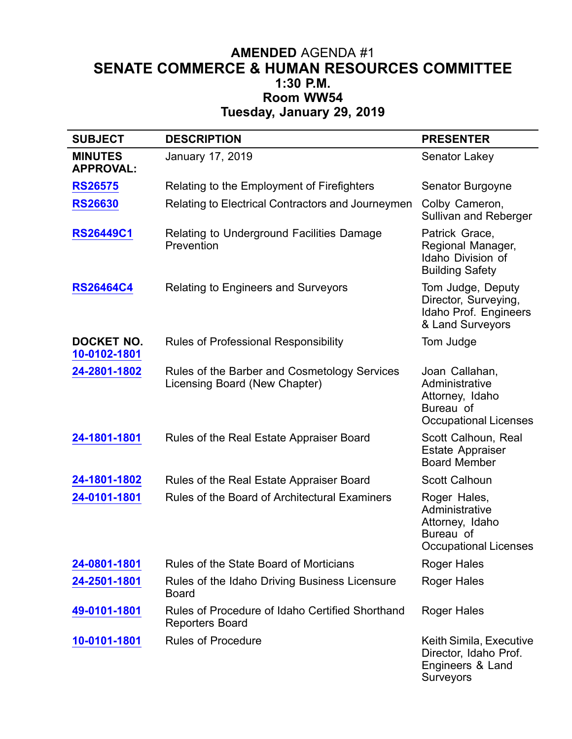## **AMENDED** AGENDA #1 **SENATE COMMERCE & HUMAN RESOURCES COMMITTEE 1:30 P.M. Room WW54 Tuesday, January 29, 2019**

| <b>SUBJECT</b>                     | <b>DESCRIPTION</b>                                                            | <b>PRESENTER</b>                                                                                 |
|------------------------------------|-------------------------------------------------------------------------------|--------------------------------------------------------------------------------------------------|
| <b>MINUTES</b><br><b>APPROVAL:</b> | January 17, 2019                                                              | Senator Lakey                                                                                    |
| <b>RS26575</b>                     | Relating to the Employment of Firefighters                                    | Senator Burgoyne                                                                                 |
| <b>RS26630</b>                     | Relating to Electrical Contractors and Journeymen                             | Colby Cameron,<br>Sullivan and Reberger                                                          |
| <b>RS26449C1</b>                   | Relating to Underground Facilities Damage<br>Prevention                       | Patrick Grace,<br>Regional Manager,<br>Idaho Division of<br><b>Building Safety</b>               |
| <b>RS26464C4</b>                   | <b>Relating to Engineers and Surveyors</b>                                    | Tom Judge, Deputy<br>Director, Surveying,<br>Idaho Prof. Engineers<br>& Land Surveyors           |
| <b>DOCKET NO.</b><br>10-0102-1801  | Rules of Professional Responsibility                                          | Tom Judge                                                                                        |
| 24-2801-1802                       | Rules of the Barber and Cosmetology Services<br>Licensing Board (New Chapter) | Joan Callahan,<br>Administrative<br>Attorney, Idaho<br>Bureau of<br><b>Occupational Licenses</b> |
| 24-1801-1801                       | Rules of the Real Estate Appraiser Board                                      | Scott Calhoun, Real<br>Estate Appraiser<br><b>Board Member</b>                                   |
| 24-1801-1802                       | Rules of the Real Estate Appraiser Board                                      | <b>Scott Calhoun</b>                                                                             |
| 24-0101-1801                       | Rules of the Board of Architectural Examiners                                 | Roger Hales,<br>Administrative<br>Attorney, Idaho<br>Bureau of<br><b>Occupational Licenses</b>   |
| 24-0801-1801                       | Rules of the State Board of Morticians                                        | <b>Roger Hales</b>                                                                               |
| 24-2501-1801                       | Rules of the Idaho Driving Business Licensure<br><b>Board</b>                 | Roger Hales                                                                                      |
| 49-0101-1801                       | Rules of Procedure of Idaho Certified Shorthand<br><b>Reporters Board</b>     | <b>Roger Hales</b>                                                                               |
| 10-0101-1801                       | <b>Rules of Procedure</b>                                                     | Keith Simila, Executive<br>Director, Idaho Prof.<br>Engineers & Land<br>Surveyors                |